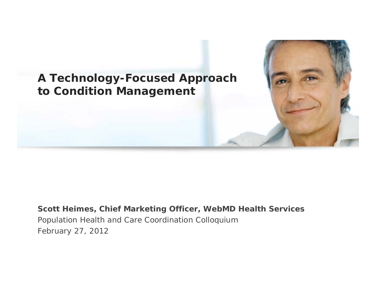# **A Technology-Focused Approach to Condition Management**

### **Scott Heimes, Chief Marketing Officer, WebMD Health Services** Population Health and Care Coordination Colloquium February 27, 2012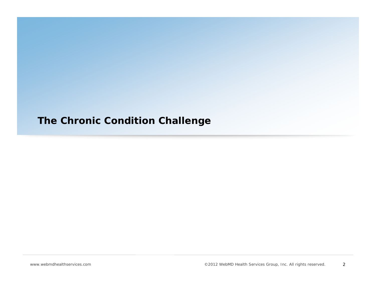## **The Chronic Condition Challenge**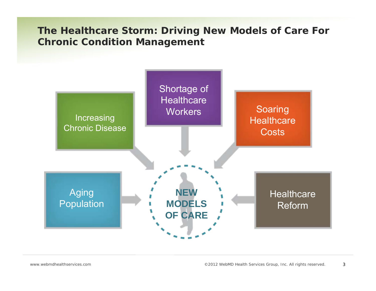**The Healthcare Storm: Driving New Models of Care For Chronic Condition Management** 

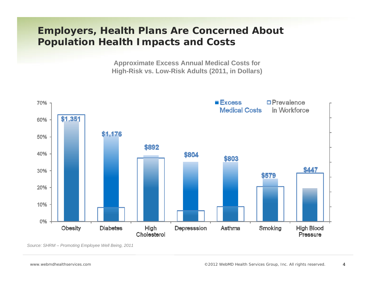## **Employers, Health Plans Are Concerned About Population Health Impacts and Costs**

**Approximate Excess Annual Medical Costs for High-Risk vs. Low-Risk Adults (2011, in Dollars)**



*Source: SHRM – Promoting Employee Well Being, 2011*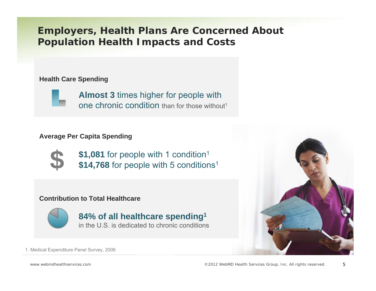## **Employers, Health Plans Are Concerned About Population Health Impacts and Costs**

### **Health Care Spending**

**Almost 3** times higher for people with one chronic condition than for those without<sup>1</sup>

### **Average Per Capita Spending**



**\$1,081** for people with 1 condition<sup>1</sup> \$14,768 for people with 5 conditions<sup>1</sup>

### **Contribution to Total Healthcare**



**84% of all healthcare spending1**  in the U.S. is dedicated to chronic conditions



1. Medical Expenditure Panel Survey, 2006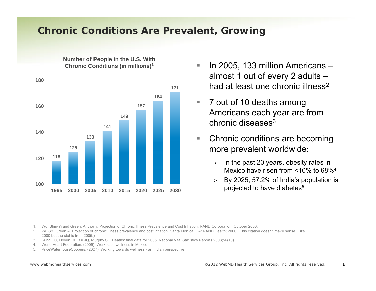### **Chronic Conditions Are Prevalent, Growing**

**Number of People in the U.S. With Chronic Conditions (in millions)1**



 $\mathcal{L}_{\mathcal{A}}$  In 2005, 133 million Americans – almost 1 out of every 2 adults – had at least one chronic illness<sup>2</sup>

- $\overline{\phantom{a}}$  7 out of 10 deaths among Americans each year are from chronic diseases3
- $\mathcal{L}_{\mathcal{A}}$  Chronic conditions are becoming more prevalent worldwide:
	- > In the past 20 years, obesity rates in Mexico have risen from <10% to 68%4
	- > By 2025, 57.2% of India's population is projected to have diabetes<sup>5</sup>

1. Wu, Shin-Yi and Green, Anthony. Projection of Chronic Illness Prevalence and Cost Inflation. RAND Corporation, October 2000.

- 2. Wu SY, Green A. Projection of chronic illness prevalence and cost inflation. Santa Monica, CA: RAND Health; 2000. (This citation doesn't make sense… it's 2000 but the stat is from 2005.)
- 3. Kung HC, Hoyert DL, Xu JQ, Murphy SL. Deaths: final data for 2005. National Vital Statistics Reports 2008;56(10).
- 4. World Heart Federation. (2009). Workplace wellness in Mexico.
- 5.PriceWaterhouseCoopers. (2007). Working towards wellness - an Indian perspective.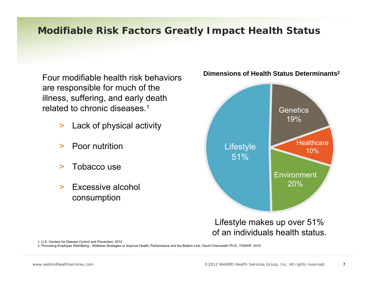## **Modifiable Risk Factors Greatly Impact Health Status**

Four modifiable health risk behaviors are responsible for much of the illness, suffering, and early death related to chronic diseases 1

- >Lack of physical activity
- $\geq$ Poor nutrition
- >Tobacco use
- $\geq$  Excessive alcohol consumption



### **Dimensions of Health Status Determinants2**

Lifestyle makes up over 51% of an individuals health status.

1, U.S. Centers for Disease Control and Prevention, 2012

2. Promoting Employee Well-Being - Wellness Strategies to Improve Health, Performance and the Bottom Line, David Chenoweth Ph.D., FAWHP, 2010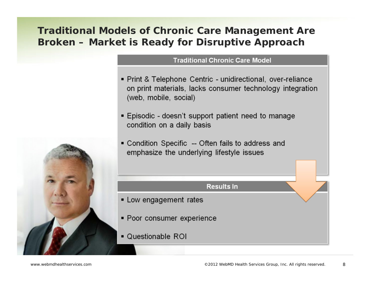## **Traditional Models of Chronic Care Management Are Broken – Market is Ready for Disruptive Approach**

### **Traditional Chronic Care Model**

- Print & Telephone Centric unidirectional, over-reliance on print materials, lacks consumer technology integration (web, mobile, social)
- Episodic doesn't support patient need to manage condition on a daily basis
- Condition Specific -- Often fails to address and emphasize the underlying lifestyle issues

### **Results In**

- Low engagement rates
- Poor consumer experience
- Questionable ROI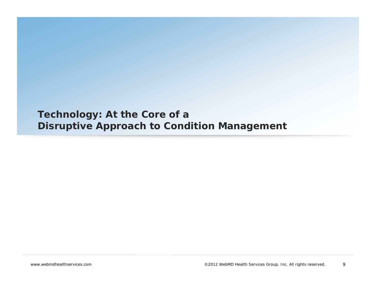### **Technology: At the Core of a Disruptive Approach to Condition Management**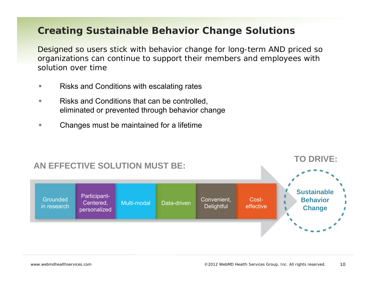### **Creating Sustainable Behavior Change Solutions**

Designed so users stick with behavior change for long-term AND priced so organizations can continue to support their members and employees with solution over time

- m. Risks and Conditions with escalating rates
- ш Risks and Conditions that can be controlled, eliminated or prevented through behavior change
- ш Changes must be maintained for a lifetime

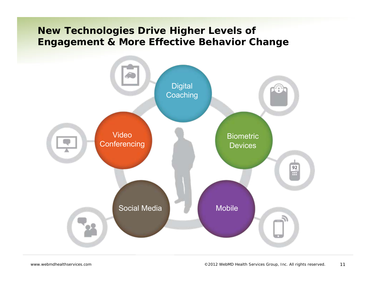## **New Technologies Drive Higher Levels of Engagement & More Effective Behavior Change**

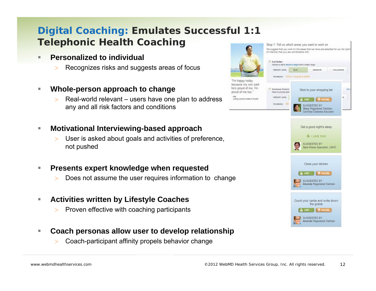## **Digital Coaching: Emulates Successful 1:1 Telephonic Health Coaching**

- $\blacksquare$  **Personalized to individual**
	- >Recognizes risks and suggests areas of focus
- $\mathcal{L}_{\mathcal{A}}$  **Whole-person approach to change**
	- > $>$  Real-world relevant – users have one plan to address any and all risk factors and conditions

#### $\mathcal{L}_{\mathcal{A}}$ **Motivational Interviewing-based approach**

 $\geq$  User is asked about goals and activities of preference, not pushed

#### П **Presents expert knowledge when requested**

>Does not assume the user requires information to change

#### П **Activities written by Lifestyle Coaches**

- $>$ Proven effective with coaching participants
- П **Coach personas allow user to develop relationship**
	- $\geq$ Coach-participant affinity propels behavior change

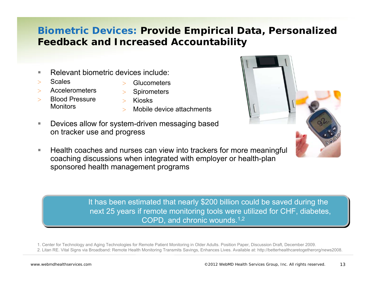## **Biometric Devices: Provide Empirical Data, Personalized Feedback and Increased Accountability**

- $\mathcal{L}_{\mathcal{A}}$ Relevant biometric devices include:
- $\geq$ Scales
- >Accelerometers
- >**Glucometers**
- >**Spirometers**
- > Blood Pressure **Monitors**
- > Kiosks
- > Mobile device attachments
- П Devices allow for system-driven messaging based on tracker use and progress
- **The State**  Health coaches and nurses can view into trackers for more meaningful coaching discussions when integrated with employer or health-plan sponsored health management programs

It has been estimated that nearly \$200 billion could be saved during the next 25 years if remote monitoring tools were utilized for CHF, diabetes, COPD, and chronic wounds.1,2

1. Center for Technology and Aging Technologies for Remote Patient Monitoring in Older Adults. Position Paper, Discussion Draft, December 2009. 2. Litan RE. Vital Signs via Broadband: Remote Health Monitoring Transmits Savings, Enhances Lives. Available at: http://betterhealthcaretogetherorg/news2008.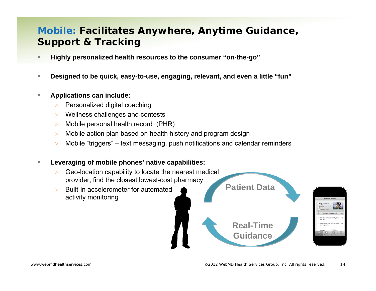## **Mobile: Facilitates Anywhere, Anytime Guidance, Support & Tracking**

- $\blacksquare$ **Highly personalized health resources to the consumer "on-the-go"**
- $\blacksquare$ **Designed to be quick, easy-to-use, engaging, relevant, and even a little "fun"**

#### $\mathbb{R}^2$ **Applications can include:**

- >Personalized digital coaching
- >Wellness challenges and contests
- $>$ Mobile personal health record (PHR)
- $>$ Mobile action plan based on health history and program design
- $\geq$ Mobile "triggers" – text messaging, push notifications and calendar reminders

#### п **Leveraging of mobile phones' native capabilities:**

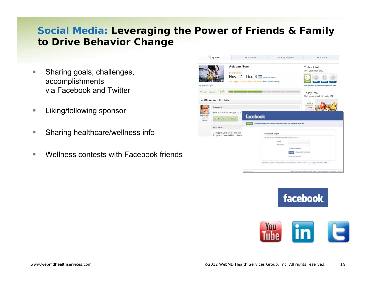## **Social Media: Leveraging the Power of Friends & Family to Drive Behavior Change**

- ×. Sharing goals, challenges, accomplishments via Facebook and Twitter
- $\mathcal{L}_{\mathcal{A}}$ Liking/following sponsor
- E Sharing healthcare/wellness info
- п Wellness contests with Facebook friends





facebook.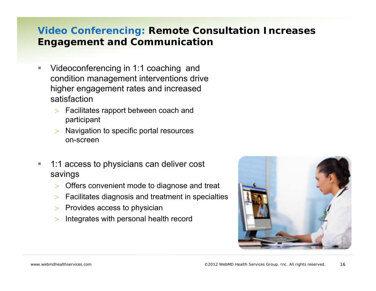## **Video Conferencing: Remote Consultation Increases Engagement and Communication**

- n. Videoconferencing in 1:1 coaching and condition management interventions drive higher engagement rates and increased satisfaction
	- > Facilitates rapport between coach and participant
	- $\geq$  Navigation to specific portal resources on-screen
- $\mathcal{L}_{\mathcal{A}}$  1:1 access to physicians can deliver cost savings
	- > Offers convenient mode to diagnose and treat
	- $\geq$ Facilitates diagnosis and treatment in specialties
	- $>$  Provides access to physician
	- $\geq$ Integrates with personal health record

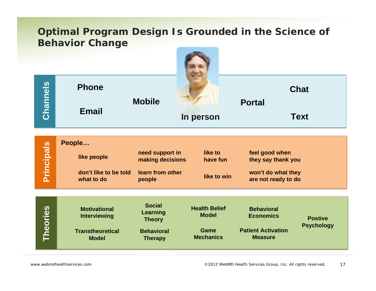### **Optimal Program Design Is Grounded in the Science of Behavior Change**

|                   | <b>Phone</b>                                                                          |                                                                                          |                                                                         |                                                                                      | <b>Chat</b>                         |
|-------------------|---------------------------------------------------------------------------------------|------------------------------------------------------------------------------------------|-------------------------------------------------------------------------|--------------------------------------------------------------------------------------|-------------------------------------|
| Channels          | <b>Email</b>                                                                          | <b>Mobile</b>                                                                            | In person                                                               | <b>Portal</b><br><b>Text</b>                                                         |                                     |
| <b>Principals</b> | People<br>like people<br>don't like to be told<br>what to do                          | need support in<br>making decisions<br>learn from other<br>people                        | like to<br>have fun<br>like to win                                      | feel good when<br>they say thank you<br>won't do what they<br>are not ready to do    |                                     |
| <b>Theories</b>   | <b>Motivational</b><br><b>Interviewing</b><br><b>Transtheoretical</b><br><b>Model</b> | <b>Social</b><br><b>Learning</b><br><b>Theory</b><br><b>Behavioral</b><br><b>Therapy</b> | <b>Health Belief</b><br><b>Model</b><br><b>Game</b><br><b>Mechanics</b> | <b>Behavioral</b><br><b>Economics</b><br><b>Patient Activation</b><br><b>Measure</b> | <b>Postive</b><br><b>Psychology</b> |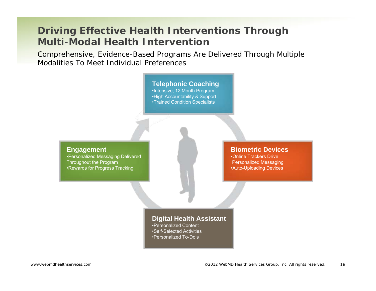### **Driving Effective Health Interventions Through Multi-Modal Health Intervention**

Comprehensive, Evidence-Based Programs Are Delivered Through Multiple Modalities To Meet Individual Preferences

### **Telephonic Coaching**

•Intensive, 12 Month Program •High Accountability & Support •Trained Condition Specialists

### **Engagement**

•Personalized Messaging Delivered Throughout the Program •Rewards for Progress Tracking

### **Biometric Devices**

•Online Trackers DrivePersonalized Messaging •Auto-Uploading Devices

### **Digital Health Assistant**

•Personalized Content•Self-Selected Activities•Personalized To-Do's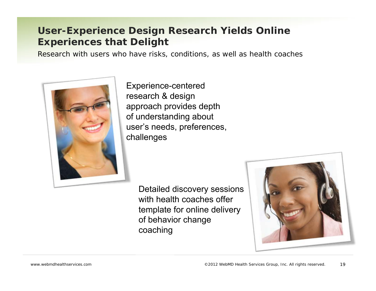## **User-Experience Design Research Yields Online Experiences that Delight**

Research with users who have risks, conditions, as well as health coaches



Experience-centered research & design approach provides depth of understanding about user's needs, preferences, challenges

> Detailed discovery sessions with health coaches offer template for online delivery of behavior change coaching

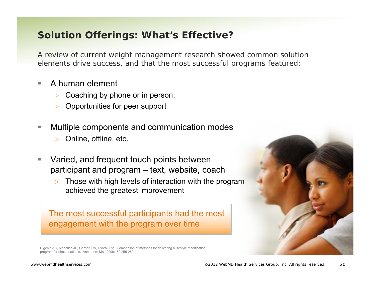### **Solution Offerings: What's Effective?**

A review of current weight management research showed common solution elements drive success, and that the most successful programs featured:

- П A human element
	- >Coaching by phone or in person;
	- >Opportunities for peer support
- П Multiple components and communication modes
	- $\geq$ Online, offline, etc.
- П Varied, and frequent touch points between participant and program – text, website, coach
	- > Those with high levels of interaction with the program achieved the greatest improvement

The most successful participants had the most engagement with the program over time



Digenio AG, Mancuso JP, Gerber, RA, Dvorak RV. Comparison of methods for delivering a lifestyle modification program for obese patients. Ann Intern Med 2009;150:255-262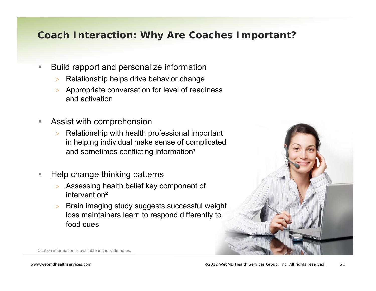## **Coach Interaction: Why Are Coaches Important?**

- $\mathcal{L}_{\mathcal{A}}$  Build rapport and personalize information
	- $\geq$ Relationship helps drive behavior change
	- $\geq$  Appropriate conversation for level of readiness and activation
- $\mathcal{L}_{\mathcal{A}}$  Assist with comprehension
	- $>$  Relationship with health professional important in helping individual make sense of complicated and sometimes conflicting information<sup>1</sup>
- $\overline{\phantom{a}}$  Help change thinking patterns
	- $\geq$  Assessing health belief key component of intervention²
	- $\geq$  Brain imaging study suggests successful weight loss maintainers learn to respond differently to food cues



Citation information is available in the slide notes.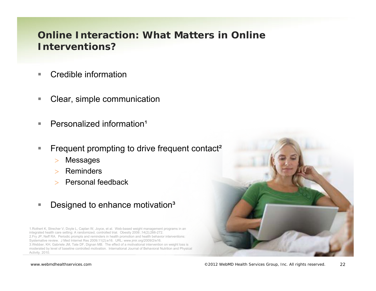### **Online Interaction: What Matters in Online Interventions?**

- **COL** Credible information
- $\mathcal{L}_{\mathcal{A}}$ Clear, simple communication
- $\mathcal{L}_{\mathcal{A}}$ Personalized information<sup>1</sup>
- $\mathcal{L}_{\mathcal{A}}$  Frequent prompting to drive frequent contact²
	- $\geq$ Messages
	- $>$  Reminders
	- > Personal feedback
- $\mathcal{L}_{\mathcal{A}}$ Designed to enhance motivation<sup>3</sup>

1.Rothert K, Strecher V, Doyle L, Caplan W, Joyce, et al. Web-based weight management programs in an integrated health care setting: A randomized, controlled trial. Obesity 2006 ;14(2);266-272. 2.Fry JP, Neff RA. Periodic prompts and reminders in health promotion and health behavior interventions: Systemative review. J Med Internet Res 2009;11(2):e16. URL: www.jmir.org/2009/2/e16. 3.Webber, KH, Gabriele JM, Tate DF, Dignan MB. The effect of a motivational intervention on weight loss is moderated by level of baseline controlled motivation. International Journal of Behavioral Nutrition and Physical Activity. 2010.

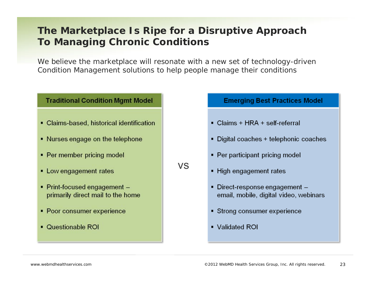## **The Marketplace Is Ripe for a Disruptive Approach To Managing Chronic Conditions**

We believe the marketplace will resonate with a new set of technology-driven Condition Management solutions to help people manage their conditions

vs

### **Traditional Condition Mgmt Model**

- Claims-based, historical identification
- Nurses engage on the telephone
- Per member pricing model
- Low engagement rates
- Print-focused engagement primarily direct mail to the home
- Poor consumer experience
- Questionable ROI

**Emerging Best Practices Model** 

- Claims + HRA + self-referral
- Digital coaches + telephonic coaches
- Per participant pricing model
- High engagement rates
- Direct-response engagement email, mobile, digital video, webinars
- Strong consumer experience
- Validated ROI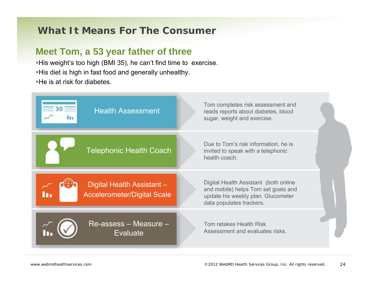### **What It Means For The Consumer**

### **Meet Tom, a 53 year father of three**

His weight's too high (BMI 35), he can't find time to exercise. His diet is high in fast food and generally unhealthy. He is at risk for diabetes.

| <b>Health Assessment</b>                                         | Tom completes risk assessment and<br>reads reports about diabetes, blood<br>sugar, weight and exercise.                                        |
|------------------------------------------------------------------|------------------------------------------------------------------------------------------------------------------------------------------------|
| <b>Telephonic Health Coach</b>                                   | Due to Tom's risk information, he is<br>invited to speak with a telephonic<br>health coach.                                                    |
| Digital Health Assistant -<br><b>Accelerometer/Digital Scale</b> | Digital Health Assistant (both online<br>and mobile) helps Tom set goals and<br>update his weekly plan. Glucometer<br>data populates trackers. |
| Re-assess - Measure -<br><b>Evaluate</b>                         | Tom retakes Health Risk<br>Assessment and evaluates risks.                                                                                     |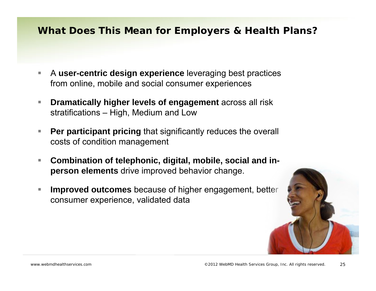### **What Does This Mean for Employers & Health Plans?**

- П A **user-centric design experience** leveraging best practices from online, mobile and social consumer experiences
- $\mathcal{L}_{\mathcal{A}}$  **Dramatically higher levels of engagement** across all risk stratifications – High, Medium and Low
- $\mathcal{L}_{\mathcal{A}}$  **Per participant pricing** that significantly reduces the overall costs of condition management
- $\mathcal{L}_{\mathcal{A}}$  **Combination of telephonic, digital, mobile, social and inperson elements** drive improved behavior change.
- T. **Improved outcomes** because of higher engagement, better consumer experience, validated data